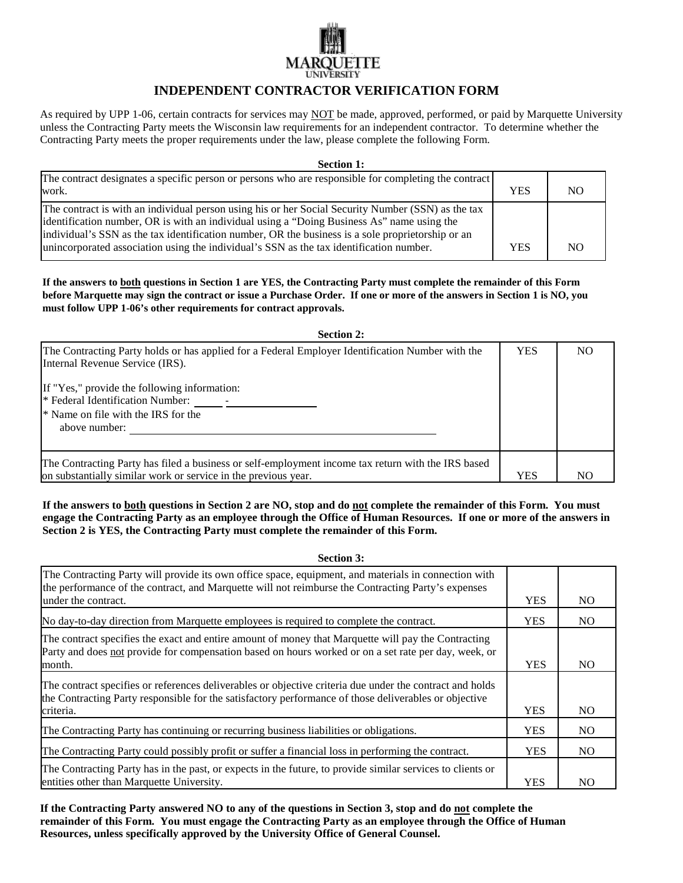## **LINIVERSITY**

## **INDEPENDENT CONTRACTOR VERIFICATION FORM**

As required by UPP 1-06, certain contracts for services may NOT be made, approved, performed, or paid by Marquette University unless the Contracting Party meets the Wisconsin law requirements for an independent contractor. To determine whether the Contracting Party meets the proper requirements under the law, please complete the following Form.

| <b>Section 1:</b> |  |
|-------------------|--|
|                   |  |

| The contract designates a specific person or persons who are responsible for completing the contract<br>work.                                                                                                                                                                                                                                                                                    | YES        | N <sub>O</sub> |
|--------------------------------------------------------------------------------------------------------------------------------------------------------------------------------------------------------------------------------------------------------------------------------------------------------------------------------------------------------------------------------------------------|------------|----------------|
| The contract is with an individual person using his or her Social Security Number (SSN) as the tax<br>identification number, OR is with an individual using a "Doing Business As" name using the<br>individual's SSN as the tax identification number, OR the business is a sole proprietorship or an<br>unincorporated association using the individual's SSN as the tax identification number. | <b>YES</b> | N <sub>O</sub> |

**If the answers to both questions in Section 1 are YES, the Contracting Party must complete the remainder of this Form before Marquette may sign the contract or issue a Purchase Order. If one or more of the answers in Section 1 is NO, you must follow UPP 1-06's other requirements for contract approvals.**

| <b>Section 2:</b>                                                                                                                                                    |            |                |
|----------------------------------------------------------------------------------------------------------------------------------------------------------------------|------------|----------------|
| The Contracting Party holds or has applied for a Federal Employer Identification Number with the<br>Internal Revenue Service (IRS).                                  | <b>YES</b> | N <sub>O</sub> |
| If "Yes," provide the following information:<br>* Federal Identification Number:<br><sup>*</sup> Name on file with the IRS for the<br>above number:                  |            |                |
| The Contracting Party has filed a business or self-employment income tax return with the IRS based<br>on substantially similar work or service in the previous year. | <b>YES</b> | N <sub>O</sub> |

**If the answers to both questions in Section 2 are NO, stop and do not complete the remainder of this Form. You must engage the Contracting Party as an employee through the Office of Human Resources. If one or more of the answers in Section 2 is YES, the Contracting Party must complete the remainder of this Form.**

**Section 3:** The Contracting Party will provide its own office space, equipment, and materials in connection with the performance of the contract, and Marquette will not reimburse the Contracting Party's expenses under the contract. YES NO No day-to-day direction from Marquette employees is required to complete the contract. YES NO The contract specifies the exact and entire amount of money that Marquette will pay the Contracting Party and does not provide for compensation based on hours worked or on a set rate per day, week, or month. The vector of the vector of the vector of the vector of the vector of the vector of the vector of the vector of the vector of the vector of the vector of the vector of the vector of the vector of the vector of the v The contract specifies or references deliverables or objective criteria due under the contract and holds the Contracting Party responsible for the satisfactory performance of those deliverables or objective criteria. No version of the set of the set of the set of the set of the set of the set of the set of the set of the set of the set of the set of the set of the set of the set of the set of the set of the set of the set of The Contracting Party has continuing or recurring business liabilities or obligations. YES NO The Contracting Party could possibly profit or suffer a financial loss in performing the contract. The YES NO The Contracting Party has in the past, or expects in the future, to provide similar services to clients or entities other than Marquette University. The same of the set of the set of the set of the set of the set of the set of the set of the set of the set of the set of the set of the set of the set of the set of the set of the

**If the Contracting Party answered NO to any of the questions in Section 3, stop and do not complete the remainder of this Form. You must engage the Contracting Party as an employee through the Office of Human Resources, unless specifically approved by the University Office of General Counsel.**